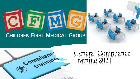# $|\mathbf{J}|$

# **CHILDREN FIRST MEDICAL GROUP**





# General Compliance Training 2021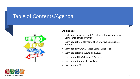# Table of Contents/Agenda





#### **Objectives:**

- Understand why you need Compliance Training and how Compliance effects everyone
- Learn about the 7 elements of an effective Compliance Program
- Learn about OIG/SAM/Medi-Cal exclusions list
- Learn about Fraud, Waste and Abuse
- Learn about HIPAA/Privacy & Security
- Learn about Cultural & Linguistics
- Learn about CCS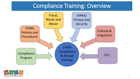# Compliance Training: Overview



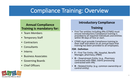# Compliance Training: Overview

#### **Annual Compliance Training is mandatory for:**

- Team Members
- Temporary Staff
- Contractors
- Consultants
- Interns
- Business Associates
- Governing Boards
- Chief Officers

#### **Introductory Compliance**

#### **Training**

- First Tier entities including IPAs (CFMG) must ensure Introductory Compliance training is provided to all required individuals and entities within 90 days of hire or start.
- CFMG must provide Compliance training to their staff and attest on an annual basis that training has been provided to all employees.

#### **FDR - Definition**

- **<sup>F</sup>** First Tier Entity: IPA, Hospital, Benefit Manager, pharmacy, (PBM)
- **<sup>D</sup>** Downstream Entity: (e.g., Pharmacy contracted with PBM, claims processing contracted with IPA)
- **<sup>R</sup>** Related Entity: (e.g. common ownership or control entity)

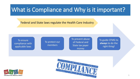# What is Compliance and Why is it important?

Federal and State laws regulate the Health Care Industry



To protect our members

To prevent abuse of Federal and State tax payer money

To guide CFMG to **always** to do the right thing!



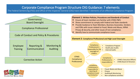#### Corporate Compliance Program Structure OIG Guidance: 7 elements

The Federal Sentencing (FSG) and Office of the Inspector General (OIG) have identified 7 elements of an effective Compliance Program:

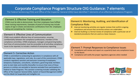#### Corporate Compliance Program Structure OIG Guidance: 7 elements

The Federal Sentencing (FSG) and Office of the Inspector General (OIG) have identified 7 elements of an effective Compliance Program:

#### Element 3: Effective Training and Education

CFMG must be able to demonstrate that their employees have fulfilled these training requirements. Examples of proof of training may include copies of sign-in sheets and electronic certifications from the employees taking and completing the training.

#### Element 4: Effective Lines of Communication

CFMG must establish effective lines of communication, ensuring confidentiality between the compliance professional, members of the compliance committee, CFMG employees, managers and governing bodies. Such lines of communication must be accessible to all and allow compliance issues to be reported, to include a method of anonymous reporting.

#### Element 5: Corrective Action

CFMG is committed to conducting its operations in compliance with all applicable laws, regulations, and rules. As a part of this commitment, CFMG conducts regulatory sanction and exclusion screening of employees, temporary employees, consultants, volunteers, governing body members prior to start date and monthly thereafter to ensure that none of these persons or entities are excluded or become excluded from participation in Federal or State Programs. This sanction screening includes validating the Office of the Inspector General (OIG), System of Award Management (SAM) and the Medi-Cal Suspended and Ineligible List.

#### Element 6: Monitoring, Auditing, and Identification of Compliance Risks

- $\cdot$  Internal monitoring activities are regular reviews that confirm ongoing compliance and ensure that corrective actions are undertaken.
- Internal Auditing is a formal review of compliance with a particular set of standard procedures that are used as a base measure.

#### Element 7: Prompt Responses to Compliance Issues

- $\cdot$  Compliance will review and report on a quarterly basis any compliance issues to the Board.
- Compliance will notify the proper regulatory agencies when needed

![](_page_6_Picture_14.jpeg)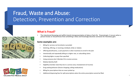# Fraud, Waste and Abuse: Detection, Prevention and Correction

![](_page_7_Picture_1.jpeg)

![](_page_7_Picture_2.jpeg)

#### **What is Fraud?**

• The intentional (knowing and willful intent) misrepresentation of data or facts for financial gain. It occurs when a person knows or should know that something is false and knowingly deceives someone for monetary gain.

#### **Some examples are:**

- Billing for services not furnished or provided
- Soliciting, offering, or receiving a kickback, bribe or rebates
- Offering beneficiaries, a cash payment or other incentives to enroll in the plan
- Intentionally and repeatedly billing at a higher rate, or unbundling claims
- Collecting higher co-pays than specified
- Using someone else's Member ID to receive services
- Medical identity theft
- Eligibility (member state they live in a service area; misstatement of income)
- Drug seeking behavior (Doctor shopping; selling medications)
- Billing for prescriptions that are never picked up
- Additional dispensing fees for split prescriptions when the entire prescription cannot be filled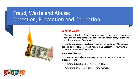# Fraud, Waste and Abuse: Detection, Prevention and Correction

![](_page_8_Picture_1.jpeg)

• The overutilization of services that results in unnecessary costs. Waste is generally not considered to be caused by criminally negligent actions but rather a misuse of resources.

• It is the extravagant, careless or needless expenditure of healthcare benefits and/or services, which results in unnecessary costs. Waste is considered a misuse of resources.

#### **Some examples are:**

- Providing medically unnecessary services, such as additional tests or procedures; and
- Failure to provide medically necessary services
- Performing unnecessary services for a member

![](_page_8_Picture_8.jpeg)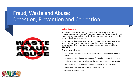# Fraud, Waste and Abuse: Detection, Prevention and Correction

![](_page_9_Picture_1.jpeg)

![](_page_9_Picture_2.jpeg)

#### **What is Abuse:**

- Includes actions that may, directly or indirectly, result in unnecessary costs, improper payment, payment for services that fail to meet professionally recognized standards of care, or services that are medically unnecessary.
- Abuse involves payment for items or services when there is no<br>legal entitlement to that payment and the provider has not knowingly and/or intentionally misrepresented facts to obtain payment

#### **Some examples are:**

- Re-ordering the same lab tests because the report could not be found in the chart
- Providing services that do not meet professionally recognized standards
- Inadvertently and consistently using the incorrect billing code on a claim
- Failure to effect timely disenrollment of a beneficiary from systems
- Hospital billing issues, e.g. incorrect billing practices
- Overprescribing narcotics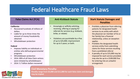# Federal Healthcare Fraud Laws

#### **California:**

- Recovered hundreds of millions of dollars
- Liable for up to three times the amount of money fraudulently obtained
- Whistleblower protection

#### **Federal**

- Imposes liability on individuals or entities who defraud governmental programs
- Whistleblower protection
- 2014: 89% of all False Claim actions were initiated by whistleblowers
- 2014: 5.7 billion dollars recovered

#### **Anti-Kickback Statute**

- Knowingly or willfully soliciting, receiving, offering or paying for referrals for services (e.g. kickback, bribe, or rebate)
- Violations are punishable by a fine of up to \$25,000; imprisonment for up to 5 years; or both.

#### **False Claims Act (FCA) Stark Statute Anti-Kickback Statute Manuscript Stark Statute Damages and <b>F Penalties**

- Prohibits a physician from referring patients for designated health services to an entity with which the physician (or member of his or her family) has a financial relationship, unless an exception applies
- Prohibits the designated health services entity from submitting claims for those services resulting from a prohibited referral
- A penalty of up to \$15,000 may be imposed for each service provided; may also be up to a \$100,000 fine for entering into an unlawful arrangement

![](_page_10_Picture_18.jpeg)

**Civil Monetary Penalty: Penalty range from \$5,000 and \$11,000 for each false claim and damages may be tripled.**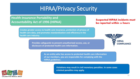# HIPAA/Privacy Security

#### **Health Insurance Portability and Accountability Act of 1996 (HIPAA)**

**Creates greater access to health care insurance, protection of privacy of health care data, and promotes standardization and efficiency in the health care industry.**

> **Provides safeguards to prevent unauthorized access, use, or disclosure of protected health care information.**

**Suspected HIPAA incidents must be reported within 24 hours**

![](_page_11_Picture_5.jpeg)

**As an entity who has access to protected health care information of our members, you are responsible for complying with the HIPAA guidelines.**

![](_page_11_Picture_7.jpeg)

**Violations may result in civil monetary penalties. In some cases criminal penalties may apply.**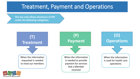# Treatment, Payment and Operations

**The law only allows disclosure of PHI under the following categories:** 

![](_page_12_Figure_2.jpeg)

![](_page_12_Picture_3.jpeg)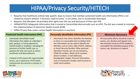# HIPAA/Privacy Security/HITECH

- Requires that healthcare entities take specific steps to ensure that member protected health care information (PHI) is not viewed by anyone without "a business need to know," is not stolen, lost or accidentally destroyed.
- Requires that Members be provided with rights over the use and disclosure of their own PHI
- HIPAA/HITECH Safeguards information that is stored or transmitted electronically such as ePHI. The Act was created to motivate the implementation of electronic health records (EHR).
- HIPAA Privacy Rule covers certain health information in any form.

#### **Protected Health Information (PHI)**

- Individually identifiable health information that relates to a Member's past, present, or future physical or mental health or condition, including the provision of his/her health care, or payment for that care (such as claims, enrollment and disenrollment)
- A breach of PHI means the impermissible access, use or disclosure of PHI which compromises the security or privacy of the PHI

#### **Personally Identifiable Information (PII)**

• Information that either identifies the Member or there is a reasonable basis to believe that the information can be used to identify the Member, such as name, date of birth, address, or Social Security Number. Other personal identifiers include, but are not limited to, CFMG ID numbers, Medi-Cal ID numbers phone numbers, e-mail addresses, photographic images, financial information, such as transaction receipts, bank account or credit card numbers.

#### **Minimum Necessary**

• All reasonable efforts should be made to access, use, disclose and request only the minimum amount of PHI needed to accomplish the intended purpose of the access, use, disclosure or request.

![](_page_13_Picture_12.jpeg)

![](_page_13_Picture_13.jpeg)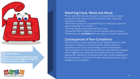![](_page_14_Picture_0.jpeg)

#### **Chapter 21 50.7.1**

**When serious noncompliance or waste occurs, you are strongly encouraged to refer the matter to CMS.**

![](_page_14_Picture_3.jpeg)

#### Reporting Fraud, Waste and Abuse

\*Every Team Member has the right and responsibility to report suspected Fraud, Waste and Abuse and any other suspected Compliance Violations.

\*Not reporting fraud or suspected fraud can make you a part of a case by allowing it to continue.

\*You may report anonymously 24 hours a day.

\*Suspected HIPAA incidences must be reported within 24 hours \*Retaliations are *prohibited* when you report a concern in good faith.

#### Consequences of Non-Compliance

\*Staff that fails to report potential Fraud, Waste & Abuse or other Compliance violations in a timely manner will be subject to disciplinary action up to and including summary termination. \*Noncompliance or Fraud, Waste, & Abuse committed by employee will be logged and a corrective action plan will be put in place if appropriate. Should the corrective action plan not be implemented by the employee, it will result in further disciplinary actions and/or leading up to termination.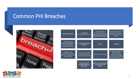### Common PHI Breaches

![](_page_15_Picture_1.jpeg)

![](_page_15_Picture_2.jpeg)

| <b>Unauthorized access</b>                                                              | Looking into<br>Family/Friends Accounts                                    | <b>Viewing Member</b><br>information without a<br>"business need to know"-<br><b>Misdirected documents</b> | Sending documents to an<br>incorrect fax number -<br>Always confirm the fax<br>number                                |
|-----------------------------------------------------------------------------------------|----------------------------------------------------------------------------|------------------------------------------------------------------------------------------------------------|----------------------------------------------------------------------------------------------------------------------|
| Mailing/handing<br>documents by mistake to<br>the wrong Member -<br>Always Double Check | -Unauthorized verbal<br>disclosure                                         | Phone                                                                                                      | <b>Voicemail</b>                                                                                                     |
| In person - Use<br>discretion near others<br>who are in proximity and<br>may overhear   | Lost, missing or stolen<br>mobile devices that<br>contain unencrypted data | Phones, laptops, tablets                                                                                   | Improper disposal of<br>documentation,<br>computers or other<br>material (e.g. throwing<br>PHI in regular trash bin) |
|                                                                                         | <b>Unsecured E-Mail</b><br>containing Member<br>information                | Web access creating data<br>security risks (social<br>media)                                               |                                                                                                                      |

![](_page_15_Picture_4.jpeg)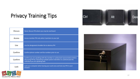# Privacy Training Tips

| <b>Discuss</b> | Never discuss PHI where you may be overheard                                                                                                                                                      |
|----------------|---------------------------------------------------------------------------------------------------------------------------------------------------------------------------------------------------|
| <b>Access</b>  | Access member PHI only when it pertains to your job                                                                                                                                               |
| <b>Use</b>     | Use the designated shredder bin to destroy PHI                                                                                                                                                    |
| Confirm        | Confirm phone number and fax numbers prior to use                                                                                                                                                 |
| Confirm        | Confirm you are speaking with the member or authorized representative before<br>discussing PHI by requesting multiple patient identifiers to authenticate the<br>individual you are speaking with |
| Lock           | Lock your computer when leaving your work area and lock any PHI in your<br>drawers                                                                                                                |

![](_page_16_Picture_2.jpeg)

![](_page_16_Picture_3.jpeg)

![](_page_16_Picture_4.jpeg)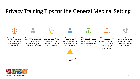# Privacy Training Tips for the General Medical Setting

![](_page_17_Figure_1.jpeg)

Every staff member in the office should be appraised of HIPAA standards and held accountable

Do not discuss sensitive issues when the patient is standing in the reception window and

within earshot of those in the waiting room

Use a patient sign-in system that allows the reception staff to remove or obstruct the name after sign-in

When retrieving a

patient from the waiting room for their appointment, use only their first name

Always err on the side of caution

![](_page_17_Figure_11.jpeg)

When placing charts for the physician, position in such a way that the patient names are not visible

Offices should have a partition system/window so that those in the waiting area cannot hear business conducted by staff members

 $\geq 2J$ 

When leaving appointment reminder phone calls to patient, exercise caution to leave PHI in your message

![](_page_17_Picture_16.jpeg)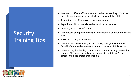# **Security Training Tips**

- Assure that office staff use a secure method for sending SECURE emails. Related to any external electronic transmittal of ePHI
- Assure that the office server is in a secure area
- Paper based PHI should always be kept in a secure area
- Change your password/s often
- Do not leave your password/log-in information in or around the office area
- Password sharing is prohibited
- When walking away from your desk always lock your computer: Ctrl+Alt+Delete and turn any documents containing PHI facedown
- When leaving for the day, lock your workstation and any drawer that contains PHI, make sure all paper documents containing PHI are placed in the designated shredder bin

![](_page_18_Picture_9.jpeg)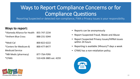# Ways to Report Compliance Concerns or for Compliance Questions

Reporting Suspected or detected non-compliance, FWA o Privacy Issues is your responsibility.

#### **Ways to report:**

| *Alameda Alliance for Health 855-747-2234 |                        |
|-------------------------------------------|------------------------|
| *Anthem Blue Cross                        | 888-231-5044           |
| *Medi-Cal                                 | 800-822-6222           |
| *Centers for Medicare &                   | 800-477-8477           |
| <b>Medicaid Service</b>                   |                        |
| *NBI Medic (pharmacy)                     | 877-7SA-FERX           |
| *CFMG                                     | 510-428-3885 ext. 4259 |
|                                           |                        |

- Reports can be anonymously
- Report Suspected Fraud, Waste and Abuse
- Report Suspected Privacy Issues/HIPAA Issues within 24 hours
- Reporting is available 24hours/7 days a week
- CFMG has a non-retaliation policy.

![](_page_19_Picture_9.jpeg)

![](_page_19_Picture_10.jpeg)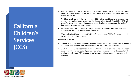**California** Children's **Services** (CCS)

- Members, ages 0-21 can receive care through California Children Services (CCS) for specific medically eligible conditions (see below). CCS financial eligibility is automatic with their Medi-Cal coverage.
- Providers who know that the member has a CCS-eligible condition and/or an open case should obtain authorization for services for that condition directly form CCS. CFMG will also refer cases, obtain authorization, and forward claims for payment on the basis of diagnosis or when an open case exists.
- If the condition is not CCS medically eligible or if CCS eligibility is uncertain, providers should follow the CFMG authorization procedures.
- CFMG Utilization Management staff will notify Health Plans of CCS referrals on a monthly basis per contractual agreement.

#### **Coordination of Care**

- Children with CCS-eligible conditions should still see their PCP for routine care, urgent care of non-eligible conditions, and for preventive care, including immunizations.
- CFMG relies on PCPs to coordinate services with CCS specialty providers. If the member is eligible for CCS services, CCS will provide medical case management for the specific CCS condition. In all cases, PCPs must continue to provide primary case management to the member.

![](_page_20_Picture_8.jpeg)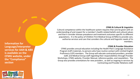#### **CFMG & Cultural & Linguistics**

Cultural competence within the healthcare system requires that care be given with an understanding of and respect for a member's health-related beliefs and cultural values and that it consider disease prevalence and treatment outcomes specific to different populations. It is the policy of Children First Medical Group (CFMG) to provide care, authorize services and care that considers the cultural and linguistic needs of its members.

#### **CFMG & Provider Education**

CFMG provides annual education including the Health Plan's Language Assistance Program (LAP) materials, to persons who have routine contact with Limited English Proficiency (LEP) members. The Group will educate contracted providers, provider staff, and Medical Group staff regarding their responsibilities through Provider Workshops, CFMG website, Provider Manual, reference guides, and newsletters. The Group also provides orientations for new providers , as well as ongoing in-services by Contracting and Provider Relations staff.

**Information for Language/interpreter services for AAH & ABX is available on the CFMG website, under the "Compliance" section**

![](_page_21_Picture_5.jpeg)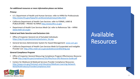#### *For additional resources or more information please see below.*

#### *Privacy:*

- U.S. Department of Health and Human Services: refer to HIPAA for Professionals [http://www.hhs.gov/hipaa/for-professionals/privacy/index.html](about:blank)
- California Department of Health Care Services: refer to FORMS, LAWS & PUBLICATIONS – PRIVACY & HIPAA [http://www/dhcs.ca.gov](about:blank)
- Department of Health Care Services Medi-Cal: refer to References Tab HIPAA [www.medi-cal.ca.gov](about:blank)

#### *Federal and State Sanction and Exclusions Lists*

- Office of Inspector General List of Excluded Individuals: [https://oig.hhs.gov/exclusions/exclusions\\_list.asp](about:blank)
- General Services Administrator System for Award Management: [www.sam.gov](about:blank)
- California Department of Health Care Services Medi-Cal Suspended and Ineligible Provider List: [http://files.medi-cal.ca.gov/pubsdoco/sandilanding.asp](about:blank)

#### *General Compliance Program*

- Office of Inspector General Measuring Compliance Program Effectiveness Resource Guide [http://oig/hhs.gov/compliance/101/files/hcca-OIG-Resource-Guide.pdf](about:blank)
- Centers for Medicare & Medicaid Services Provider Compliance Resources: [http://www.cms.gov/Outreach-and-Education/Medicare-Learning-Network-](about:blank)MLN/MLNProducts/ProviderCompliance.html

# Available Resources

![](_page_22_Picture_13.jpeg)